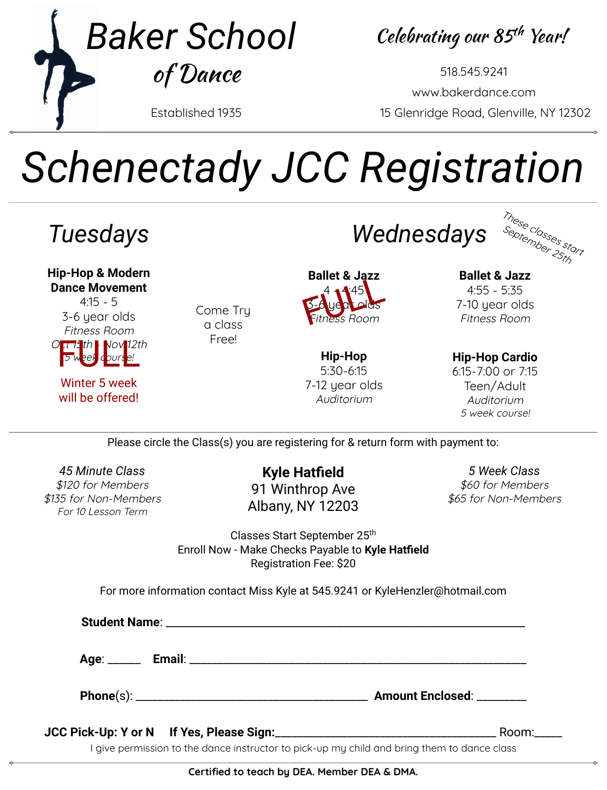

Celebrating our 85th Year!

Established 1935 15 Glenridge Road, Glenville, NY 12302 518.545.9241 [www.bakerdance.com](http://www.bakerdance.com)

# *Schenectady JCC Registration*



Please circle the Class(s) you are registering for & return form with payment to:

*45 Minute Class* \$120 for Members \$135 for Non-Members For 10 Lesson Term

**Kyle Hatfield** 91 Winthrop Ave Albany, NY 12203

*5 Week Class* \$60 for Members \$65 for Non-Members

Classes Start September 25<sup>th</sup> Enroll Now - Make Checks Payable to **Kyle Hatfield** Registration Fee: \$20

For more information contact Miss Kyle at 545.9241 or [KyleHenzler@hotmail.com](mailto:KyleHenzler@hotmail.com)

**Student Name**: \_\_\_\_\_\_\_\_\_\_\_\_\_\_\_\_\_\_\_\_\_\_\_\_\_\_\_\_\_\_\_\_\_\_\_\_\_\_\_\_\_\_\_\_\_\_\_\_\_\_\_\_\_\_\_\_\_\_\_\_\_\_\_\_\_

**Age**: \_\_\_\_\_\_ **Email**: \_\_\_\_\_\_\_\_\_\_\_\_\_\_\_\_\_\_\_\_\_\_\_\_\_\_\_\_\_\_\_\_\_\_\_\_\_\_\_\_\_\_\_\_\_\_\_\_\_\_\_\_\_\_\_\_\_\_\_\_\_

**Phone**(s): \_\_\_\_\_\_\_\_\_\_\_\_\_\_\_\_\_\_\_\_\_\_\_\_\_\_\_\_\_\_\_\_\_\_\_\_\_\_\_\_\_\_ **Amount Enclosed**: \_\_\_\_\_\_\_\_\_

**JCC Pick-Up: Y or N If Yes, Please Sign:**\_\_\_\_\_\_\_\_\_\_\_\_\_\_\_\_\_\_\_\_\_\_\_\_\_\_\_\_\_\_\_\_\_\_\_\_\_\_\_\_ Room:\_\_\_\_\_

I give permission to the dance instructor to pick-up my child and bring them to dance class